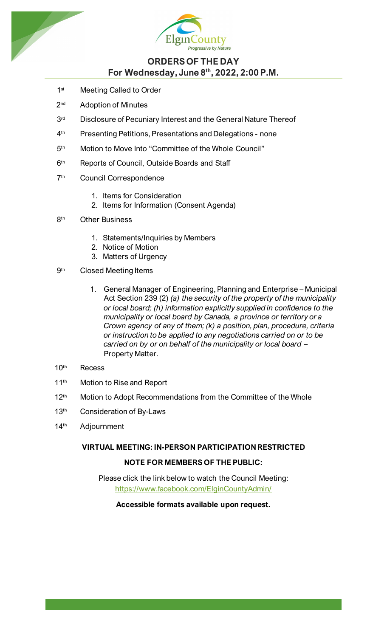



# **ORDERS OF THE DAY For Wednesday, June 8th, 2022, 2:00 P.M.**

- 1<sup>st</sup> Meeting Called to Order
- 2<sup>nd</sup> Adoption of Minutes
- 3<sup>rd</sup> Disclosure of Pecuniary Interest and the General Nature Thereof
- 4<sup>th</sup> Presenting Petitions, Presentations and Delegations none
- 5<sup>th</sup> Motion to Move Into "Committee of the Whole Council"
- 6<sup>th</sup> Reports of Council, Outside Boards and Staff
- 7<sup>th</sup> Council Correspondence
	- 1. Items for Consideration
	- 2. Items for Information (Consent Agenda)
- 8<sup>th</sup> Other Business
	- 1. Statements/Inquiries by Members
	- 2. Notice of Motion
	- 3. Matters of Urgency
- 9<sup>th</sup> Closed Meeting Items
	- 1. General Manager of Engineering, Planning and Enterprise Municipal Act Section 239 (2) *(a) the security of the property of the municipality or local board; (h) information explicitly supplied in confidence to the municipality or local board by Canada, a province or territory or a Crown agency of any of them; (k) a position, plan, procedure, criteria or instruction to be applied to any negotiations carried on or to be carried on by or on behalf of the municipality or local board* – Property Matter.
- 10th Recess
- 11<sup>th</sup> Motion to Rise and Report
- 12<sup>th</sup> Motion to Adopt Recommendations from the Committee of the Whole
- 13<sup>th</sup> Consideration of By-Laws
- 14<sup>th</sup> Adjournment

# **VIRTUAL MEETING: IN-PERSON PARTICIPATION RESTRICTED**

# **NOTE FOR MEMBERS OF THE PUBLIC:**

Please click the link below to watch the Council Meeting: <https://www.facebook.com/ElginCountyAdmin/>

#### **Accessible formats available upon request.**